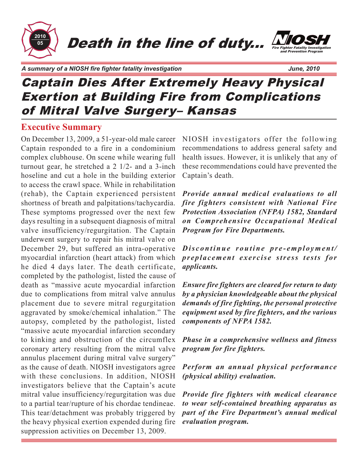

*A summary of a NIOSH fire fighter fatality investigation June, 2010*

Fire Fighter Fatality Investigation and Prevention Program

# Captain Dies After Extremely Heavy Physical Exertion at Building Fire from Complications of Mitral Valve Surgery– Kansas

### **Executive Summary**

On December 13, 2009, a 51-year-old male career Captain responded to a fire in a condominium complex clubhouse. On scene while wearing full turnout gear, he stretched a 2 1/2- and a 3-inch hoseline and cut a hole in the building exterior to access the crawl space. While in rehabilitation (rehab), the Captain experienced persistent shortness of breath and palpitations/tachycardia. These symptoms progressed over the next few days resulting in a subsequent diagnosis of mitral valve insufficiency/regurgitation. The Captain underwent surgery to repair his mitral valve on December 29, but suffered an intra-operative myocardial infarction (heart attack) from which he died 4 days later. The death certificate, completed by the pathologist, listed the cause of death as "massive acute myocardial infarction due to complications from mitral valve annulus placement due to severe mitral regurgitation aggravated by smoke/chemical inhalation." The autopsy, completed by the pathologist, listed "massive acute myocardial infarction secondary to kinking and obstruction of the circumflex coronary artery resulting from the mitral valve annulus placement during mitral valve surgery" as the cause of death. NIOSH investigators agree with these conclusions. In addition, NIOSH investigators believe that the Captain's acute mitral value insufficiency/regurgitation was due to a partial tear/rupture of his chordae tendineae. This tear/detachment was probably triggered by the heavy physical exertion expended during fire suppression activities on December 13, 2009.

NIOSH investigators offer the following recommendations to address general safety and health issues. However, it is unlikely that any of these recommendations could have prevented the Captain's death.

*Provide annual medical evaluations to all fire fighters consistent with National Fire Protection Association (NFPA) 1582, Standard on Comprehensive Occupational Medical Program for Fire Departments.*

*Discontinue routine pre-employment/ preplacement exercise stress tests for applicants.*

*Ensure fire fighters are cleared for return to duty by a physician knowledgeable about the physical demands of fire fighting, the personal protective equipment used by fire fighters, and the various components of NFPA 1582.*

*Phase in a comprehensive wellness and fitness program for fire fighters.*

*Perform an annual physical performance (physical ability) evaluation.*

*Provide fire fighters with medical clearance to wear self-contained breathing apparatus as part of the Fire Department's annual medical evaluation program.*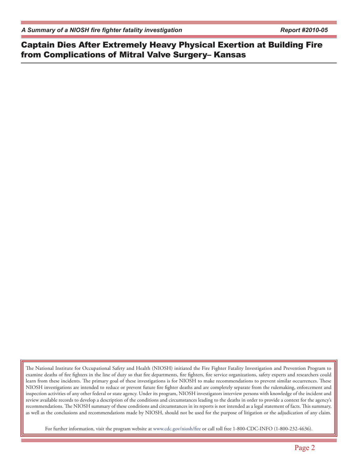*A Summary of a NIOSH fire fighter fatality investigation Report #2010-05*

Captain Dies After Extremely Heavy Physical Exertion at Building Fire from Complications of Mitral Valve Surgery– Kansas

The National Institute for Occupational Safety and Health (NIOSH) initiated the Fire Fighter Fatality Investigation and Prevention Program to examine deaths of fire fighters in the line of duty so that fire departments, fire fighters, fire service organizations, safety experts and researchers could learn from these incidents. The primary goal of these investigations is for NIOSH to make recommendations to prevent similar occurrences. These NIOSH investigations are intended to reduce or prevent future fire fighter deaths and are completely separate from the rulemaking, enforcement and inspection activities of any other federal or state agency. Under its program, NIOSH investigators interview persons with knowledge of the incident and review available records to develop a description of the conditions and circumstances leading to the deaths in order to provide a context for the agency's recommendations. The NIOSH summary of these conditions and circumstances in its reports is not intended as a legal statement of facts. This summary, as well as the conclusions and recommendations made by NIOSH, should not be used for the purpose of litigation or the adjudication of any claim.

For further information, visit the program website at www.cdc.gov/niosh/fire or call toll free 1-800-CDC-INFO (1-800-232-4636).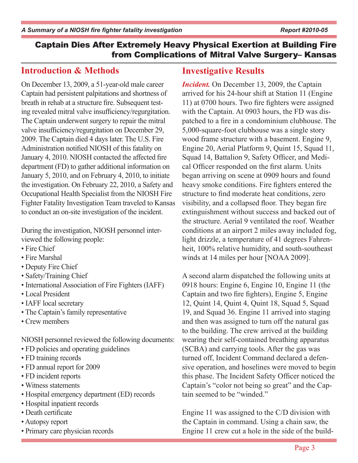# **Introduction & Methods**

On December 13, 2009, a 51-year-old male career Captain had persistent palpitations and shortness of breath in rehab at a structure fire. Subsequent testing revealed mitral valve insufficiency/regurgitation. The Captain underwent surgery to repair the mitral valve insufficiency/regurgitation on December 29, 2009. The Captain died 4 days later. The U.S. Fire Administration notified NIOSH of this fatality on January 4, 2010. NIOSH contacted the affected fire department (FD) to gather additional information on January 5, 2010, and on February 4, 2010, to initiate the investigation. On February 22, 2010, a Safety and Occupational Health Specialist from the NIOSH Fire Fighter Fatality Investigation Team traveled to Kansas to conduct an on-site investigation of the incident.

During the investigation, NIOSH personnel interviewed the following people:

- Fire Chief
- Fire Marshal
- Deputy Fire Chief
- Safety/Training Chief
- International Association of Fire Fighters (IAFF)
- Local President
- IAFF local secretary
- The Captain's family representative
- Crew members

NIOSH personnel reviewed the following documents:

- FD policies and operating guidelines
- FD training records
- FD annual report for 2009
- FD incident reports
- Witness statements
- Hospital emergency department (ED) records
- Hospital inpatient records
- Death certificate
- Autopsy report
- Primary care physician records

# **Investigative Results**

*Incident.* On December 13, 2009, the Captain arrived for his 24-hour shift at Station 11 (Engine 11) at 0700 hours. Two fire fighters were assigned with the Captain. At 0903 hours, the FD was dispatched to a fire in a condominium clubhouse. The 5,000-square-foot clubhouse was a single story wood frame structure with a basement. Engine 9, Engine 20, Aerial Platform 9, Quint 15, Squad 11, Squad 14, Battalion 9, Safety Officer, and Medical Officer responded on the first alarm. Units began arriving on scene at 0909 hours and found heavy smoke conditions. Fire fighters entered the structure to find moderate heat conditions, zero visibility, and a collapsed floor. They began fire extinguishment without success and backed out of the structure. Aerial 9 ventilated the roof. Weather conditions at an airport 2 miles away included fog, light drizzle, a temperature of 41 degrees Fahrenheit, 100% relative humidity, and south-southeast winds at 14 miles per hour [NOAA 2009].

A second alarm dispatched the following units at 0918 hours: Engine 6, Engine 10, Engine 11 (the Captain and two fire fighters), Engine 5, Engine 12, Quint 14, Quint 4, Quint 18, Squad 5, Squad 19, and Squad 36. Engine 11 arrived into staging and then was assigned to turn off the natural gas to the building. The crew arrived at the building wearing their self-contained breathing apparatus (SCBA) and carrying tools. After the gas was turned off, Incident Command declared a defensive operation, and hoselines were moved to begin this phase. The Incident Safety Officer noticed the Captain's "color not being so great" and the Captain seemed to be "winded."

Engine 11 was assigned to the C/D division with the Captain in command. Using a chain saw, the Engine 11 crew cut a hole in the side of the build-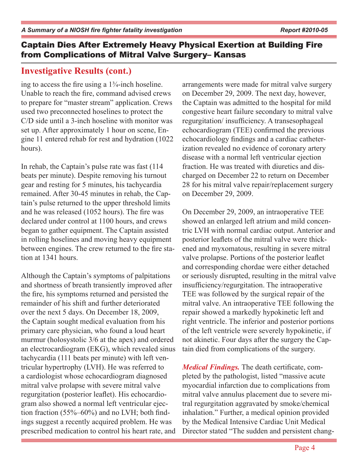# **Investigative Results (cont.)**

ing to access the fire using a 1¾-inch hoseline. Unable to reach the fire, command advised crews to prepare for "master stream" application. Crews used two preconnected hoselines to protect the C/D side until a 3-inch hoseline with monitor was set up. After approximately 1 hour on scene, Engine 11 entered rehab for rest and hydration (1022 hours).

In rehab, the Captain's pulse rate was fast (114 beats per minute). Despite removing his turnout gear and resting for 5 minutes, his tachycardia remained. After 30-45 minutes in rehab, the Captain's pulse returned to the upper threshold limits and he was released (1052 hours). The fire was declared under control at 1100 hours, and crews began to gather equipment. The Captain assisted in rolling hoselines and moving heavy equipment between engines. The crew returned to the fire station at 1341 hours.

Although the Captain's symptoms of palpitations and shortness of breath transiently improved after the fire, his symptoms returned and persisted the remainder of his shift and further deteriorated over the next 5 days. On December 18, 2009, the Captain sought medical evaluation from his primary care physician, who found a loud heart murmur (holosystolic 3/6 at the apex) and ordered an electrocardiogram (EKG), which revealed sinus tachycardia (111 beats per minute) with left ventricular hypertrophy (LVH). He was referred to a cardiologist whose echocardiogram diagnosed mitral valve prolapse with severe mitral valve regurgitation (posterior leaflet). His echocardiogram also showed a normal left ventricular ejection fraction (55%–60%) and no LVH; both findings suggest a recently acquired problem. He was prescribed medication to control his heart rate, and arrangements were made for mitral valve surgery on December 29, 2009. The next day, however, the Captain was admitted to the hospital for mild congestive heart failure secondary to mitral valve regurgitation/ insufficiency. A transesophageal echocardiogram (TEE) confirmed the previous echocardiology findings and a cardiac catheterization revealed no evidence of coronary artery disease with a normal left ventricular ejection fraction. He was treated with diuretics and discharged on December 22 to return on December 28 for his mitral valve repair/replacement surgery on December 29, 2009.

On December 29, 2009, an intraoperative TEE showed an enlarged left atrium and mild concentric LVH with normal cardiac output. Anterior and posterior leaflets of the mitral valve were thickened and myxomatous, resulting in severe mitral valve prolapse. Portions of the posterior leaflet and corresponding chordae were either detached or seriously disrupted, resulting in the mitral valve insufficiency/regurgitation. The intraoperative TEE was followed by the surgical repair of the mitral valve. An intraoperative TEE following the repair showed a markedly hypokinetic left and right ventricle. The inferior and posterior portions of the left ventricle were severely hypokinetic, if not akinetic. Four days after the surgery the Captain died from complications of the surgery.

*Medical Findings.* The death certificate, completed by the pathologist, listed "massive acute myocardial infarction due to complications from mitral valve annulus placement due to severe mitral regurgitation aggravated by smoke/chemical inhalation." Further, a medical opinion provided by the Medical Intensive Cardiac Unit Medical Director stated "The sudden and persistent chang-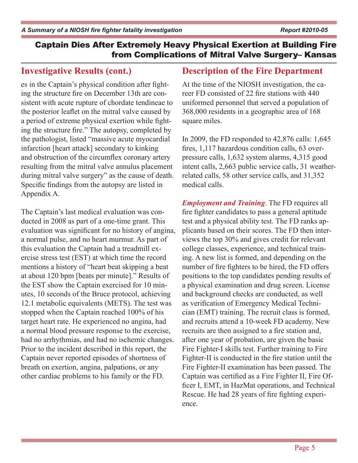### **Investigative Results (cont.)**

es in the Captain's physical condition after fighting the structure fire on December 13th are consistent with acute rupture of chordate tendineae to the posterior leaflet on the mitral valve caused by a period of extreme physical exertion while fighting the structure fire." The autopsy, completed by the pathologist, listed "massive acute myocardial infarction [heart attack] secondary to kinking and obstruction of the circumflex coronary artery resulting from the mitral valve annulus placement during mitral valve surgery" as the cause of death. Specific findings from the autopsy are listed in Appendix A.

The Captain's last medical evaluation was conducted in 2008 as part of a one-time grant. This evaluation was significant for no history of angina, a normal pulse, and no heart murmur. As part of this evaluation the Captain had a treadmill exercise stress test (EST) at which time the record mentions a history of "heart beat skipping a beat at about 120 bpm [beats per minute]." Results of the EST show the Captain exercised for 10 minutes, 10 seconds of the Bruce protocol, achieving 12.1 metabolic equivalents (METS). The test was stopped when the Captain reached 100% of his target heart rate. He experienced no angina, had a normal blood pressure response to the exercise, had no arrhythmias, and had no ischemic changes. Prior to the incident described in this report, the Captain never reported episodes of shortness of breath on exertion, angina, palpations, or any other cardiac problems to his family or the FD.

### **Description of the Fire Department**

At the time of the NIOSH investigation, the career FD consisted of 22 fire stations with 440 uniformed personnel that served a population of 368,000 residents in a geographic area of 168 square miles.

In 2009, the FD responded to 42,876 calls: 1,645 fires, 1,117 hazardous condition calls, 63 overpressure calls, 1,632 system alarms, 4,315 good intent calls, 2,663 public service calls, 31 weatherrelated calls, 58 other service calls, and 31,352 medical calls.

*Employment and Training*. The FD requires all fire fighter candidates to pass a general aptitude test and a physical ability test. The FD ranks applicants based on their scores. The FD then interviews the top 30% and gives credit for relevant college classes, experience, and technical training. A new list is formed, and depending on the number of fire fighters to be hired, the FD offers positions to the top candidates pending results of a physical examination and drug screen. License and background checks are conducted, as well as verification of Emergency Medical Technician (EMT) training. The recruit class is formed, and recruits attend a 10-week FD academy. New recruits are then assigned to a fire station and, after one year of probation, are given the basic Fire Fighter-I skills test. Further training to Fire Fighter-II is conducted in the fire station until the Fire Fighter-II examination has been passed. The Captain was certified as a Fire Fighter II, Fire Officer I, EMT, in HazMat operations, and Technical Rescue. He had 28 years of fire fighting experience.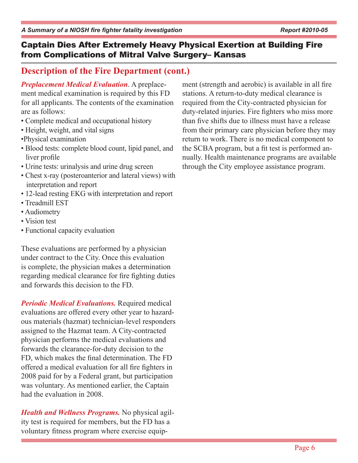# **Description of the Fire Department (cont.)**

*Preplacement Medical Evaluation*. A preplacement medical examination is required by this FD for all applicants. The contents of the examination are as follows:

- Complete medical and occupational history
- Height, weight, and vital signs
- •Physical examination
- Blood tests: complete blood count, lipid panel, and liver profile
- Urine tests: urinalysis and urine drug screen
- Chest x-ray (posteroanterior and lateral views) with interpretation and report
- 12-lead resting EKG with interpretation and report
- Treadmill EST
- Audiometry
- Vision test
- Functional capacity evaluation

These evaluations are performed by a physician under contract to the City. Once this evaluation is complete, the physician makes a determination regarding medical clearance for fire fighting duties and forwards this decision to the FD.

*Periodic Medical Evaluations.* Required medical evaluations are offered every other year to hazardous materials (hazmat) technician-level responders assigned to the Hazmat team. A City-contracted physician performs the medical evaluations and forwards the clearance-for-duty decision to the FD, which makes the final determination. The FD offered a medical evaluation for all fire fighters in 2008 paid for by a Federal grant, but participation was voluntary. As mentioned earlier, the Captain had the evaluation in 2008.

*Health and Wellness Programs.* No physical agility test is required for members, but the FD has a voluntary fitness program where exercise equip-

ment (strength and aerobic) is available in all fire stations. A return-to-duty medical clearance is required from the City-contracted physician for duty-related injuries. Fire fighters who miss more than five shifts due to illness must have a release from their primary care physician before they may return to work. There is no medical component to the SCBA program, but a fit test is performed annually. Health maintenance programs are available through the City employee assistance program.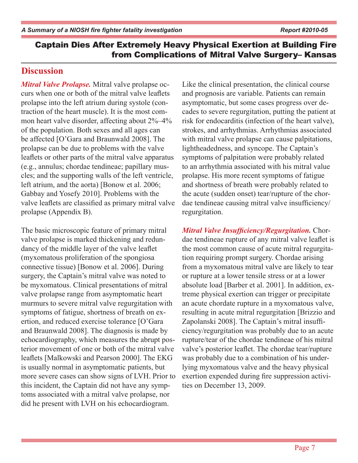### **Discussion**

*Mitral Valve Prolapse.* Mitral valve prolapse occurs when one or both of the mitral valve leaflets prolapse into the left atrium during systole (contraction of the heart muscle). It is the most common heart valve disorder, affecting about 2%–4% of the population. Both sexes and all ages can be affected [O'Gara and Braunwald 2008]. The prolapse can be due to problems with the valve leaflets or other parts of the mitral valve apparatus (e.g., annulus; chordae tendineae; papillary muscles; and the supporting walls of the left ventricle, left atrium, and the aorta) [Bonow et al. 2006; Gabbay and Yosefy 2010]. Problems with the valve leaflets are classified as primary mitral valve prolapse (Appendix B).

The basic microscopic feature of primary mitral valve prolapse is marked thickening and redundancy of the middle layer of the valve leaflet (myxomatous proliferation of the spongiosa connective tissue) [Bonow et al. 2006]. During surgery, the Captain's mitral valve was noted to be myxomatous. Clinical presentations of mitral valve prolapse range from asymptomatic heart murmurs to severe mitral valve regurgitation with symptoms of fatigue, shortness of breath on exertion, and reduced exercise tolerance [O'Gara and Braunwald 2008]. The diagnosis is made by echocardiography, which measures the abrupt posterior movement of one or both of the mitral valve leaflets [Malkowski and Pearson 2000]. The EKG is usually normal in asymptomatic patients, but more severe cases can show signs of LVH. Prior to this incident, the Captain did not have any symptoms associated with a mitral valve prolapse, nor did he present with LVH on his echocardiogram.

Like the clinical presentation, the clinical course and prognosis are variable. Patients can remain asymptomatic, but some cases progress over decades to severe regurgitation, putting the patient at risk for endocarditis (infection of the heart valve), strokes, and arrhythmias. Arrhythmias associated with mitral valve prolapse can cause palpitations, lightheadedness, and syncope. The Captain's symptoms of palpitation were probably related to an arrhythmia associated with his mitral value prolapse. His more recent symptoms of fatigue and shortness of breath were probably related to the acute (sudden onset) tear/rupture of the chordae tendineae causing mitral valve insufficiency/ regurgitation.

*Mitral Valve Insufficiency/Regurgitation.* Chordae tendineae rupture of any mitral valve leaflet is the most common cause of acute mitral regurgitation requiring prompt surgery. Chordae arising from a myxomatous mitral valve are likely to tear or rupture at a lower tensile stress or at a lower absolute load [Barber et al. 2001]. In addition, extreme physical exertion can trigger or precipitate an acute chordate rupture in a myxomatous valve, resulting in acute mitral regurgitation [Brizzio and Zapolanski 2008]. The Captain's mitral insufficiency/regurgitation was probably due to an acute rupture/tear of the chordae tendineae of his mitral valve's posterior leaflet. The chordae tear/rupture was probably due to a combination of his underlying myxomatous valve and the heavy physical exertion expended during fire suppression activities on December 13, 2009.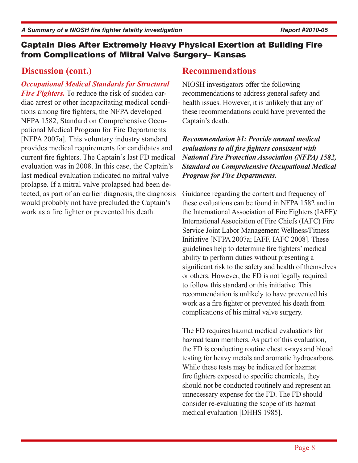# **Discussion (cont.)**

*Occupational Medical Standards for Structural Fire Fighters.* To reduce the risk of sudden cardiac arrest or other incapacitating medical conditions among fire fighters, the NFPA developed NFPA 1582, Standard on Comprehensive Occupational Medical Program for Fire Departments [NFPA 2007a]. This voluntary industry standard provides medical requirements for candidates and current fire fighters. The Captain's last FD medical evaluation was in 2008. In this case, the Captain's last medical evaluation indicated no mitral valve prolapse. If a mitral valve prolapsed had been detected, as part of an earlier diagnosis, the diagnosis would probably not have precluded the Captain's work as a fire fighter or prevented his death.

# **Recommendations**

NIOSH investigators offer the following recommendations to address general safety and health issues. However, it is unlikely that any of these recommendations could have prevented the Captain's death.

*Recommendation #1: Provide annual medical evaluations to all fire fighters consistent with National Fire Protection Association (NFPA) 1582, Standard on Comprehensive Occupational Medical Program for Fire Departments.*

Guidance regarding the content and frequency of these evaluations can be found in NFPA 1582 and in the International Association of Fire Fighters (IAFF)/ International Association of Fire Chiefs (IAFC) Fire Service Joint Labor Management Wellness/Fitness Initiative [NFPA 2007a; IAFF, IAFC 2008]. These guidelines help to determine fire fighters' medical ability to perform duties without presenting a significant risk to the safety and health of themselves or others. However, the FD is not legally required to follow this standard or this initiative. This recommendation is unlikely to have prevented his work as a fire fighter or prevented his death from complications of his mitral valve surgery.

The FD requires hazmat medical evaluations for hazmat team members. As part of this evaluation, the FD is conducting routine chest x-rays and blood testing for heavy metals and aromatic hydrocarbons. While these tests may be indicated for hazmat fire fighters exposed to specific chemicals, they should not be conducted routinely and represent an unnecessary expense for the FD. The FD should consider re-evaluating the scope of its hazmat medical evaluation [DHHS 1985].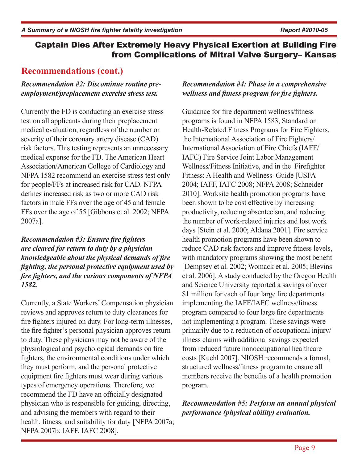# **Recommendations (cont.)**

#### *Recommendation #2: Discontinue routine preemployment/preplacement exercise stress test.*

Currently the FD is conducting an exercise stress test on all applicants during their preplacement medical evaluation, regardless of the number or severity of their coronary artery disease (CAD) risk factors. This testing represents an unnecessary medical expense for the FD. The American Heart Association/American College of Cardiology and NFPA 1582 recommend an exercise stress test only for people/FFs at increased risk for CAD. NFPA defines increased risk as two or more CAD risk factors in male FFs over the age of 45 and female FFs over the age of 55 [Gibbons et al. 2002; NFPA 2007a].

#### *Recommendation #3: Ensure fire fighters are cleared for return to duty by a physician knowledgeable about the physical demands of fire fighting, the personal protective equipment used by fire fighters, and the various components of NFPA 1582.*

Currently, a State Workers' Compensation physician reviews and approves return to duty clearances for fire fighters injured on duty. For long-term illnesses, the fire fighter's personal physician approves return to duty. These physicians may not be aware of the physiological and psychological demands on fire fighters, the environmental conditions under which they must perform, and the personal protective equipment fire fighters must wear during various types of emergency operations. Therefore, we recommend the FD have an officially designated physician who is responsible for guiding, directing, and advising the members with regard to their health, fitness, and suitability for duty [NFPA 2007a; NFPA 2007b; IAFF, IAFC 2008].

#### *Recommendation #4: Phase in a comprehensive wellness and fitness program for fire fighters.*

Guidance for fire department wellness/fitness programs is found in NFPA 1583, Standard on Health-Related Fitness Programs for Fire Fighters, the International Association of Fire Fighters/ International Association of Fire Chiefs (IAFF/ IAFC) Fire Service Joint Labor Management Wellness/Fitness Initiative, and in the Firefighter Fitness: A Health and Wellness Guide [USFA 2004; IAFF, IAFC 2008; NFPA 2008; Schneider 2010]. Worksite health promotion programs have been shown to be cost effective by increasing productivity, reducing absenteeism, and reducing the number of work-related injuries and lost work days [Stein et al. 2000; Aldana 2001]. Fire service health promotion programs have been shown to reduce CAD risk factors and improve fitness levels, with mandatory programs showing the most benefit [Dempsey et al. 2002; Womack et al. 2005; Blevins et al. 2006]. A study conducted by the Oregon Health and Science University reported a savings of over \$1 million for each of four large fire departments implementing the IAFF/IAFC wellness/fitness program compared to four large fire departments not implementing a program. These savings were primarily due to a reduction of occupational injury/ illness claims with additional savings expected from reduced future nonoccupational healthcare costs [Kuehl 2007]. NIOSH recommends a formal, structured wellness/fitness program to ensure all members receive the benefits of a health promotion program.

#### *Recommendation #5: Perform an annual physical performance (physical ability) evaluation.*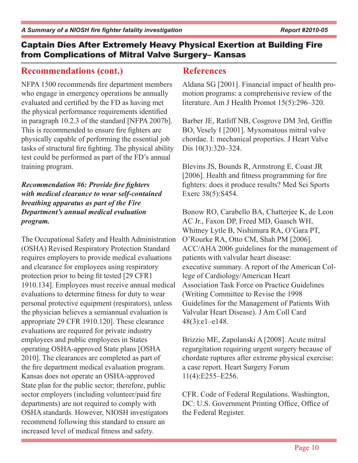# **Recommendations (cont.)**

NFPA 1500 recommends fire department members who engage in emergency operations be annually evaluated and certified by the FD as having met the physical performance requirements identified in paragraph 10.2.3 of the standard [NFPA 2007b]. This is recommended to ensure fire fighters are physically capable of performing the essential job tasks of structural fire fighting. The physical ability test could be performed as part of the FD's annual training program.

*Recommendation #6: Provide fire fighters with medical clearance to wear self-contained breathing apparatus as part of the Fire Department's annual medical evaluation program.*

The Occupational Safety and Health Administration (OSHA) Revised Respiratory Protection Standard requires employers to provide medical evaluations and clearance for employees using respiratory protection prior to being fit tested [29 CFR1 1910.134]. Employees must receive annual medical evaluations to determine fitness for duty to wear personal protective equipment (respirators), unless the physician believes a semiannual evaluation is appropriate 29 CFR 1910.120]. These clearance evaluations are required for private industry employees and public employees in States operating OSHA-approved State plans [OSHA 2010]. The clearances are completed as part of the fire department medical evaluation program. Kansas does not operate an OSHA-approved State plan for the public sector; therefore, public sector employers (including volunteer/paid fire departments) are not required to comply with OSHA standards. However, NIOSH investigators recommend following this standard to ensure an increased level of medical fitness and safety.

# **References**

Aldana SG [2001]. Financial impact of health promotion programs: a comprehensive review of the literature. Am J Health Promot 15(5):296–320.

Barber JE, Ratliff NB, Cosgrove DM 3rd, Griffin BO, Vesely I [2001]. Myxomatous mitral valve chordae. I: mechanical properties. J Heart Valve Dis 10(3):320–324.

Blevins JS, Bounds R, Armstrong E, Coast JR [2006]. Health and fitness programming for fire fighters: does it produce results? Med Sci Sports Exerc 38(5):S454.

Bonow RO, Carabello BA, Chatterjee K, de Leon AC Jr., Faxon DP, Freed MD, Gaasch WH, Whitney Lytle B, Nishimura RA, O'Gara PT, O'Rourke RA, Otto CM, Shah PM [2006]. ACC/AHA 2006 guidelines for the management of patients with valvular heart disease: executive summary. A report of the American College of Cardiology/American Heart Association Task Force on Practice Guidelines (Writing Committee to Revise the 1998 Guidelines for the Management of Patients With Valvular Heart Disease). J Am Coll Card 48(3):e1–e148.

Brizzio ME, Zapolanski A [2008]. Acute mitral regurgitation requiring urgent surgery because of chordate ruptures after extreme physical exercise: a case report. Heart Surgery Forum 11(4):E255–E256.

CFR. Code of Federal Regulations. Washington, DC: U.S. Government Printing Office, Office of the Federal Register.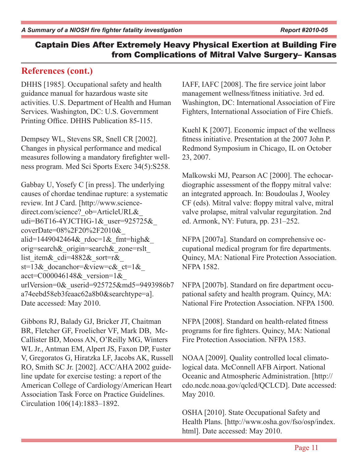# **References (cont.)**

DHHS [1985]. Occupational safety and health guidance manual for hazardous waste site activities. U.S. Department of Health and Human Services. Washington, DC: U.S. Government Printing Office. DHHS Publication 85-115.

Dempsey WL, Stevens SR, Snell CR [2002]. Changes in physical performance and medical measures following a mandatory firefighter wellness program. Med Sci Sports Exerc 34(5):S258.

Gabbay U, Yosefy C [in press]. The underlying causes of chordae tendinae rupture: a systematic review. Int J Card. [http://www.sciencedirect.com/science? ob=ArticleURL& udi=B6T16-4YJCTHG-1&\_user=925725&\_ coverDate=08%2F20%2F2010&\_ alid=1449042464 $\&$  rdoc=1 $\&$  fmt=high $\&$ orig=search&\_origin=search&\_zone=rslt\_ list item & cdi=4882& sort=r & st=13& docanchor=&view=c&  $ct=1$ &  $\arct =$ C000046148& version=1& urlVersion=0&\_userid=925725&md5=9493986b7 a74eebd58eb3feaac62a8b0&searchtype=a]. Date accessed: May 2010.

Gibbons RJ, Balady GJ, Bricker JT, Chaitman BR, Fletcher GF, Froelicher VF, Mark DB, Mc-Callister BD, Mooss AN, O'Reilly MG, Winters WL Jr., Antman EM, Alpert JS, Faxon DP, Fuster V, Gregoratos G, Hiratzka LF, Jacobs AK, Russell RO, Smith SC Jr. [2002]. ACC/AHA 2002 guideline update for exercise testing: a report of the American College of Cardiology/American Heart Association Task Force on Practice Guidelines. Circulation 106(14):1883–1892.

IAFF, IAFC [2008]. The fire service joint labor management wellness/fitness initiative. 3rd ed. Washington, DC: International Association of Fire Fighters, International Association of Fire Chiefs.

Kuehl K [2007]. Economic impact of the wellness fitness initiative. Presentation at the 2007 John P. Redmond Symposium in Chicago, IL on October 23, 2007.

Malkowski MJ, Pearson AC [2000]. The echocardiographic assessment of the floppy mitral valve: an integrated approach. In: Boudoulas J, Wooley CF (eds). Mitral valve: floppy mitral valve, mitral valve prolapse, mitral valvular regurgitation. 2nd ed. Armonk, NY: Futura, pp. 231–252.

NFPA [2007a]. Standard on comprehensive occupational medical program for fire departments. Quincy, MA: National Fire Protection Association. NFPA 1582.

NFPA [2007b]. Standard on fire department occupational safety and health program. Quincy, MA: National Fire Protection Association. NFPA 1500.

NFPA [2008]. Standard on health-related fitness programs for fire fighters. Quincy, MA: National Fire Protection Association. NFPA 1583.

NOAA [2009]. Quality controlled local climatological data. McConnell AFB Airport. National Oceanic and Atmospheric Administration. [http:// cdo.ncdc.noaa.gov/qclcd/QCLCD]. Date accessed: May 2010.

OSHA [2010]. State Occupational Safety and Health Plans. [http://www.osha.gov/fso/osp/index. html]. Date accessed: May 2010.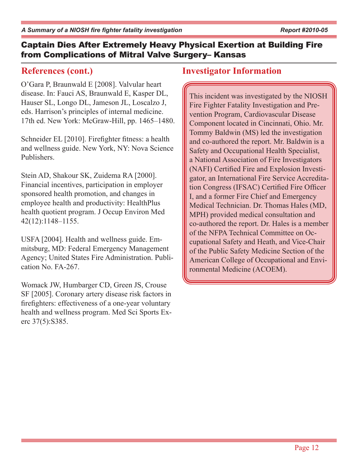### **References (cont.)**

O'Gara P, Braunwald E [2008]. Valvular heart disease. In: Fauci AS, Braunwald E, Kasper DL, Hauser SL, Longo DL, Jameson JL, Loscalzo J, eds. Harrison's principles of internal medicine. 17th ed. New York: McGraw-Hill, pp. 1465–1480.

Schneider EL [2010]. Firefighter fitness: a health and wellness guide. New York, NY: Nova Science Publishers.

Stein AD, Shakour SK, Zuidema RA [2000]. Financial incentives, participation in employer sponsored health promotion, and changes in employee health and productivity: HealthPlus health quotient program. J Occup Environ Med 42(12):1148–1155.

USFA [2004]. Health and wellness guide. Emmitsburg, MD: Federal Emergency Management Agency; United States Fire Administration. Publication No. FA-267.

Womack JW, Humbarger CD, Green JS, Crouse SF [2005]. Coronary artery disease risk factors in firefighters: effectiveness of a one-year voluntary health and wellness program. Med Sci Sports Exerc 37(5):S385.

# **Investigator Information**

This incident was investigated by the NIOSH Fire Fighter Fatality Investigation and Prevention Program, Cardiovascular Disease Component located in Cincinnati, Ohio. Mr. Tommy Baldwin (MS) led the investigation and co-authored the report. Mr. Baldwin is a Safety and Occupational Health Specialist, a National Association of Fire Investigators (NAFI) Certified Fire and Explosion Investigator, an International Fire Service Accreditation Congress (IFSAC) Certified Fire Officer I, and a former Fire Chief and Emergency Medical Technician. Dr. Thomas Hales (MD, MPH) provided medical consultation and co-authored the report. Dr. Hales is a member of the NFPA Technical Committee on Occupational Safety and Heath, and Vice-Chair of the Public Safety Medicine Section of the American College of Occupational and Environmental Medicine (ACOEM).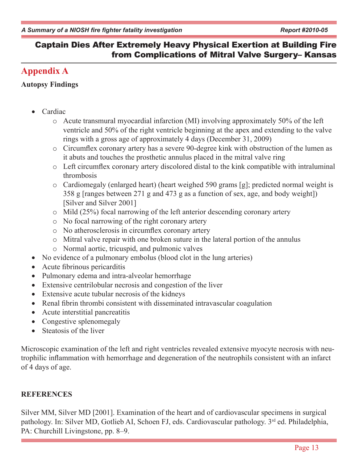# **Appendix A**

#### **Autopsy Findings**

- Cardiac
	- o Acute transmural myocardial infarction (MI) involving approximately 50% of the left ventricle and 50% of the right ventricle beginning at the apex and extending to the valve rings with a gross age of approximately 4 days (December 31, 2009)
	- o Circumflex coronary artery has a severe 90-degree kink with obstruction of the lumen as it abuts and touches the prosthetic annulus placed in the mitral valve ring
	- o Left circumflex coronary artery discolored distal to the kink compatible with intraluminal thrombosis
	- o Cardiomegaly (enlarged heart) (heart weighed 590 grams [g]; predicted normal weight is 358 g [ranges between 271 g and 473 g as a function of sex, age, and body weight]) [Silver and Silver 2001]
	- o Mild (25%) focal narrowing of the left anterior descending coronary artery
	- o No focal narrowing of the right coronary artery
	- o No atherosclerosis in circumflex coronary artery
	- o Mitral valve repair with one broken suture in the lateral portion of the annulus
	- o Normal aortic, tricuspid, and pulmonic valves
- No evidence of a pulmonary embolus (blood clot in the lung arteries)
- Acute fibrinous pericarditis
- Pulmonary edema and intra-alveolar hemorrhage
- Extensive centrilobular necrosis and congestion of the liver
- Extensive acute tubular necrosis of the kidneys
- Renal fibrin thrombi consistent with disseminated intravascular coagulation
- Acute interstitial pancreatitis
- Congestive splenomegaly
- Steatosis of the liver

Microscopic examination of the left and right ventricles revealed extensive myocyte necrosis with neutrophilic inflammation with hemorrhage and degeneration of the neutrophils consistent with an infarct of 4 days of age.

### **REFERENCES**

Silver MM, Silver MD [2001]. Examination of the heart and of cardiovascular specimens in surgical pathology. In: Silver MD, Gotlieb AI, Schoen FJ, eds. Cardiovascular pathology. 3rd ed. Philadelphia, PA: Churchill Livingstone, pp. 8–9.